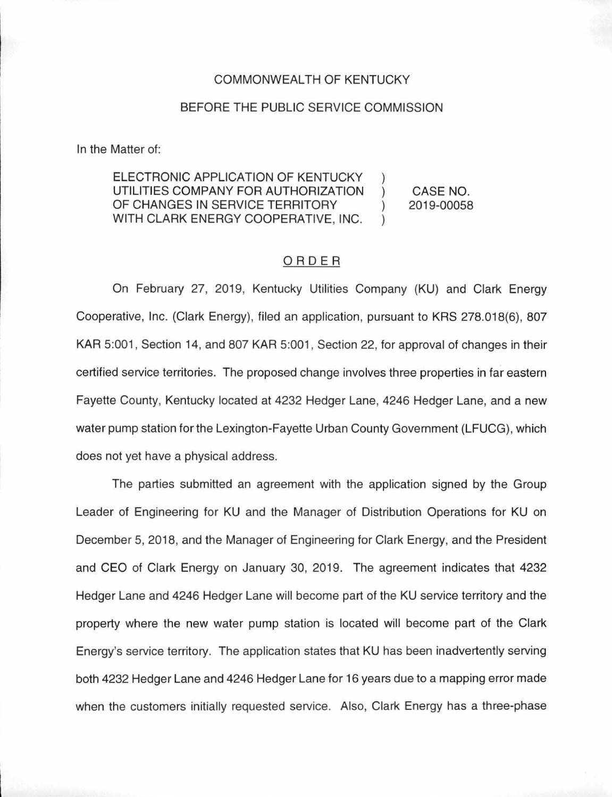### COMMONWEALTH OF KENTUCKY

## BEFORE THE PUBLIC SERVICE COMMISSION

In the Matter of:

#### ELECTRONIC APPLICATION OF KENTUCKY UTILITIES COMPANY FOR AUTHORIZATION  $\lambda$ CASE NO. OF CHANGES IN SERVICE TERRITORY 2019-00058  $\mathcal{L}$ WITH CLARK ENERGY COOPERATIVE, INC.  $\mathcal{L}$

# ORDER

On February 27, 2019, Kentucky Utilities Company (KU) and Clark Energy Cooperative, Inc. (Clark Energy), filed an application, pursuant to KRS 278.018(6), 807 KAR 5:001, Section 14, and 807 KAR 5:001, Section 22, for approval of changes in their certified service territories. The proposed change involves three properties in far eastern Fayette County, Kentucky located at 4232 Hedger Lane, 4246 Hedger Lane, and a new water pump station for the Lexington-Fayette Urban County Government (LFUCG), which does not yet have a physical address.

The parties submitted an agreement with the application signed by the Group Leader of Engineering for KU and the Manager of Distribution Operations for KU on December 5, 2018, and the Manager of Engineering for Clark Energy, and the President and CEO of Clark Energy on January 30, 2019. The agreement indicates that 4232 Hedger Lane and 4246 Hedger Lane will become part of the KU service territory and the property where the new water pump station is located will become part of the Clark Energy's service territory. The application states that KU has been inadvertently serving both 4232 Hedger Lane and 4246 Hedger Lane for 16 years due to a mapping error made when the customers initially requested service. Also, Clark Energy has a three-phase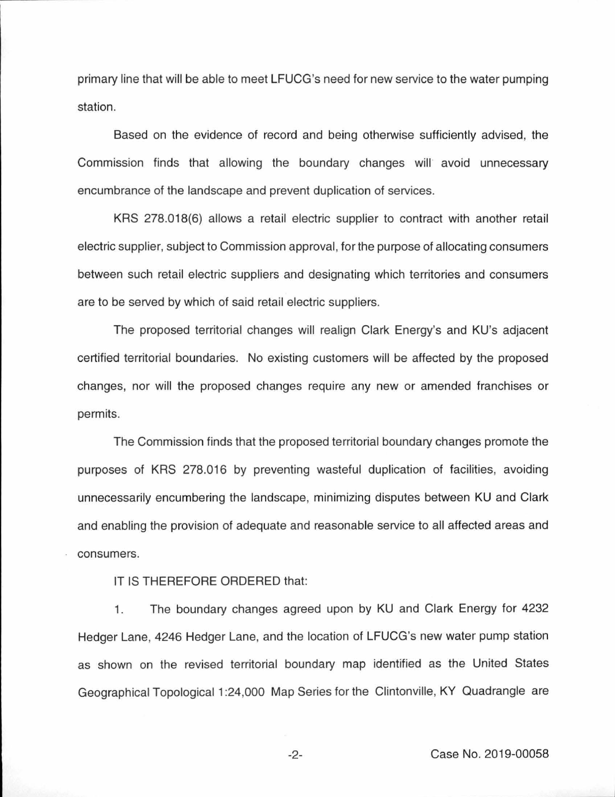primary line that will be able to meet LFUCG's need for new service to the water pumping station.

Based on the evidence of record and being otherwise sufficiently advised, the Commission finds that allowing the boundary changes will avoid unnecessary encumbrance of the landscape and prevent duplication of services.

KRS 278.018(6) allows a retail electric supplier to contract with another retail electric supplier, subject to Commission approval, for the purpose of allocating consumers between such retail electric suppliers and designating which territories and consumers are to be served by which of said retail electric suppliers.

The proposed territorial changes will realign Clark Energy's and KU's adjacent certified territorial boundaries. No existing customers will be affected by the proposed changes, nor will the proposed changes require any new or amended franchises or permits.

The Commission finds that the proposed territorial boundary changes promote the purposes of KRS 278.016 by preventing wasteful duplication of facilities, avoiding unnecessarily encumbering the landscape, minimizing disputes between KU and Clark and enabling the provision of adequate and reasonable service to all affected areas and consumers.

IT IS THEREFORE ORDERED that:

1. The boundary changes agreed upon by KU and Clark Energy for 4232 Hedger Lane, 4246 Hedger Lane, and the location of LFUCG's new water pump station as shown on the revised territorial boundary map identified as the United States Geographical Topological 1 :24,000 Map Series for the Clintonville, KY Quadrangle are

-2- Case No. 2019-00058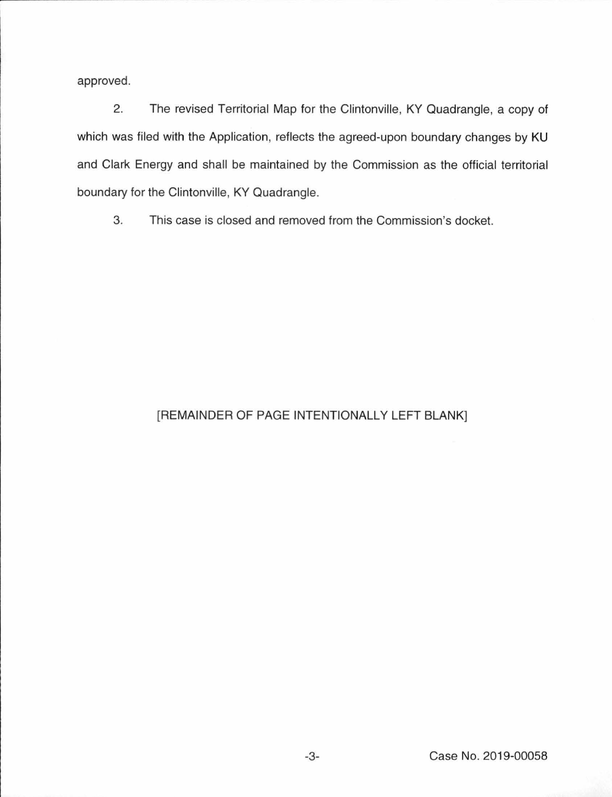approved.

2. The revised Territorial Map for the Clintonville, KY Quadrangle, a copy of which was filed with the Application, reflects the agreed-upon boundary changes by KU and Clark Energy and shall be maintained by the Commission as the official territorial boundary for the Clintonville, KY Quadrangle.

3. This case is closed and removed from the Commission's docket.

# [REMAINDER OF PAGE INTENTIONALLY LEFT BLANK]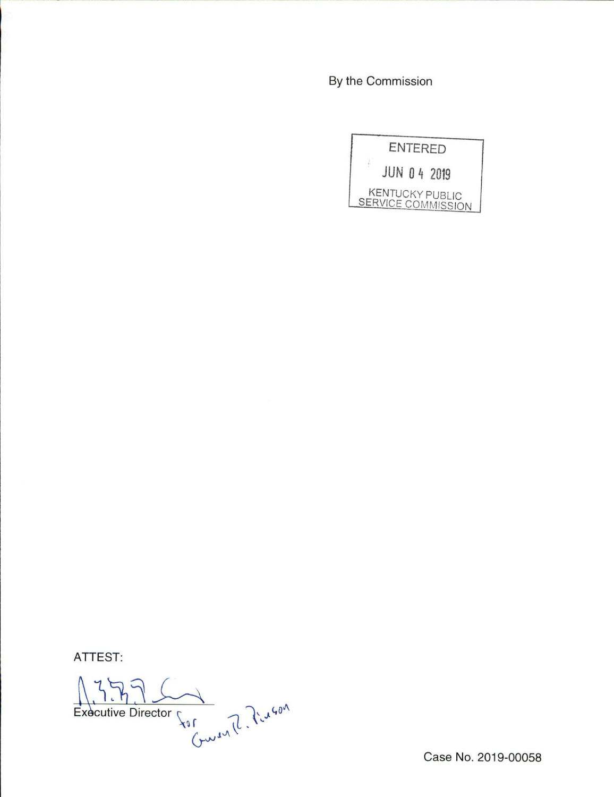By the Commission



ATTEST:

Executive Director for Curson

Case No. 2019-00058